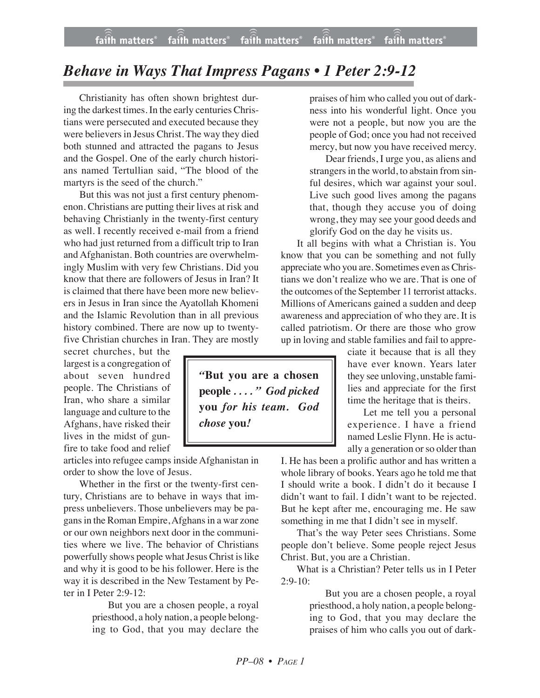## *Behave in Ways That Impress Pagans • 1 Peter 2:9-12*

Christianity has often shown brightest during the darkest times. In the early centuries Christians were persecuted and executed because they were believers in Jesus Christ. The way they died both stunned and attracted the pagans to Jesus and the Gospel. One of the early church historians named Tertullian said, "The blood of the martyrs is the seed of the church."

But this was not just a first century phenomenon. Christians are putting their lives at risk and behaving Christianly in the twenty-first century as well. I recently received e-mail from a friend who had just returned from a difficult trip to Iran and Afghanistan. Both countries are overwhelmingly Muslim with very few Christians. Did you know that there are followers of Jesus in Iran? It is claimed that there have been more new believers in Jesus in Iran since the Ayatollah Khomeni and the Islamic Revolution than in all previous history combined. There are now up to twentyfive Christian churches in Iran. They are mostly

secret churches, but the largest is a congregation of about seven hundred people. The Christians of Iran, who share a similar language and culture to the Afghans, have risked their lives in the midst of gunfire to take food and relief

articles into refugee camps inside Afghanistan in order to show the love of Jesus.

Whether in the first or the twenty-first century, Christians are to behave in ways that impress unbelievers. Those unbelievers may be pagans in the Roman Empire, Afghans in a war zone or our own neighbors next door in the communities where we live. The behavior of Christians powerfully shows people what Jesus Christ is like and why it is good to be his follower. Here is the way it is described in the New Testament by Peter in I Peter 2:9-12:

> But you are a chosen people, a royal priesthood, a holy nation, a people belonging to God, that you may declare the

praises of him who called you out of darkness into his wonderful light. Once you were not a people, but now you are the people of God; once you had not received mercy, but now you have received mercy.

Dear friends, I urge you, as aliens and strangers in the world, to abstain from sinful desires, which war against your soul. Live such good lives among the pagans that, though they accuse you of doing wrong, they may see your good deeds and glorify God on the day he visits us.

It all begins with what a Christian is. You know that you can be something and not fully appreciate who you are. Sometimes even asChristians we don't realize who we are. That is one of the outcomes of the September 11 terrorist attacks. Millions of Americans gained a sudden and deep awareness and appreciation of who they are. It is called patriotism. Or there are those who grow up in loving and stable families and fail to appre-

ciate it because that is all they have ever known. Years later they see unloving, unstable families and appreciate for the first time the heritage that is theirs.

Let me tell you a personal experience. I have a friend named Leslie Flynn. He is actually a generation or so older than

I. He has been a prolific author and has written a whole library of books. Years ago he told me that I should write a book. I didn't do it because I didn't want to fail. I didn't want to be rejected. But he kept after me, encouraging me. He saw something in me that I didn't see in myself.

That's the way Peter sees Christians. Some people don't believe. Some people reject Jesus Christ. But, you are a Christian.

What is a Christian? Peter tells us in I Peter  $2:9-10$ :

> But you are a chosen people, a royal priesthood, a holy nation, a people belonging to God, that you may declare the praises of him who calls you out of dark-

*"***But you are a chosen people** *. . . . " God picked* **you** *for his team. God chose* **you***!*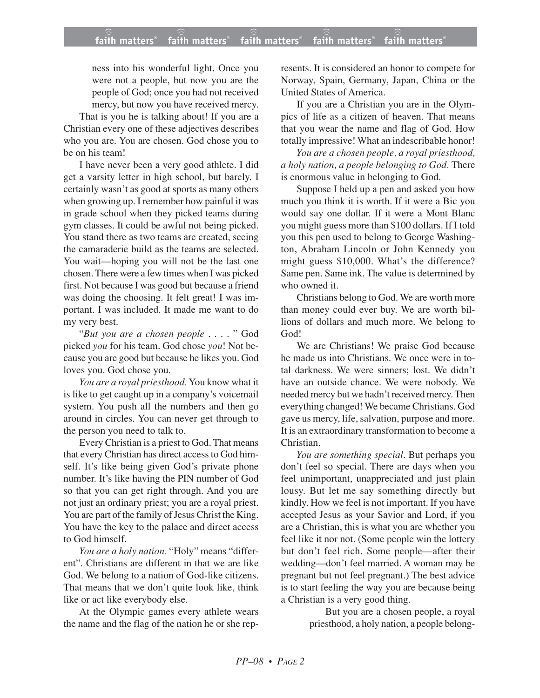## **faith matters® faith matters® faith matters® faith matters® faith matters®** ))) ))) ))) faith matters $^{\circ}$  faith matters $^{\circ}$ faith matters<sup>®</sup>

ness into his wonderful light. Once you were not a people, but now you are the people of God; once you had not received mercy, but now you have received mercy.

That is you he is talking about! If you are a Christian every one of these adjectives describes who you are. You are chosen. God chose you to be on his team!

I have never been a very good athlete. I did get a varsity letter in high school, but barely. I certainly wasn't as good at sports as many others when growing up. I remember how painful it was in grade school when they picked teams during gym classes. It could be awful not being picked. You stand there as two teams are created, seeing the camaraderie build as the teams are selected. You wait—hoping you will not be the last one chosen. There were a few times when I was picked first. Not because I was good but because a friend was doing the choosing. It felt great! I was important. I was included. It made me want to do my very best.

"*But you are a chosen people* . . . . " God picked *you* for his team. God chose *you*! Not because you are good but because he likes you. God loves you. God chose you.

*You are a royal priesthood.* You know what it is like to get caught up in a company's voicemail system. You push all the numbers and then go around in circles. You can never get through to the person you need to talk to.

Every Christian is a priest to God. That means that every Christian has direct access to God himself. It's like being given God's private phone number. It's like having the PIN number of God so that you can get right through. And you are not just an ordinary priest; you are a royal priest. You are part of the family of Jesus Christ the King. You have the key to the palace and direct access to God himself.

*You are a holy nation.* "Holy" means "different". Christians are different in that we are like God. We belong to a nation of God-like citizens. That means that we don't quite look like, think like or act like everybody else.

At the Olympic games every athlete wears the name and the flag of the nation he or she represents. It is considered an honor to compete for Norway, Spain, Germany, Japan, China or the United States of America.

If you are a Christian you are in the Olympics of life as a citizen of heaven. That means that you wear the name and flag of God. How totally impressive! What an indescribable honor!

*You are a chosen people, a royal priesthood, a holy nation, a people belonging to God.* There is enormous value in belonging to God.

Suppose I held up a pen and asked you how much you think it is worth. If it were a Bic you would say one dollar. If it were a Mont Blanc you might guess more than \$100 dollars. If I told you this pen used to belong to George Washington, Abraham Lincoln or John Kennedy you might guess \$10,000. What's the difference? Same pen. Same ink. The value is determined by who owned it.

Christians belong to God. We are worth more than money could ever buy. We are worth billions of dollars and much more. We belong to God!

We are Christians! We praise God because he made us into Christians. We once were in total darkness. We were sinners; lost. We didn't have an outside chance. We were nobody. We needed mercy but we hadn't received mercy. Then everything changed! We became Christians. God gave us mercy, life, salvation, purpose and more. It is an extraordinary transformation to become a Christian.

*You are something special*. But perhaps you don't feel so special. There are days when you feel unimportant, unappreciated and just plain lousy. But let me say something directly but kindly. How we feel is not important. If you have accepted Jesus as your Savior and Lord, if you are a Christian, this is what you are whether you feel like it nor not. (Some people win the lottery but don't feel rich. Some people—after their wedding—don't feel married. A woman may be pregnant but not feel pregnant.) The best advice is to start feeling the way you are because being a Christian is a very good thing.

> But you are a chosen people, a royal priesthood, a holy nation, a people belong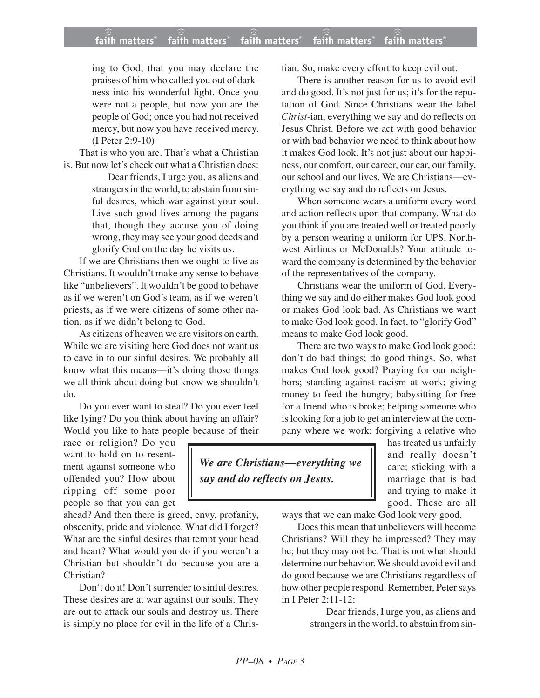ing to God, that you may declare the praises of him who called you out of darkness into his wonderful light. Once you were not a people, but now you are the people of God; once you had not received mercy, but now you have received mercy. (I Peter 2:9-10)

That is who you are. That's what a Christian is. But now let's check out what a Christian does:

Dear friends, I urge you, as aliens and strangers in the world, to abstain from sinful desires, which war against your soul. Live such good lives among the pagans that, though they accuse you of doing wrong, they may see your good deeds and glorify God on the day he visits us.

If we are Christians then we ought to live as Christians. It wouldn't make any sense to behave like "unbelievers". It wouldn't be good to behave as if we weren't on God's team, as if we weren't priests, as if we were citizens of some other nation, as if we didn't belong to God.

As citizens of heaven we are visitors on earth. While we are visiting here God does not want us to cave in to our sinful desires. We probably all know what this means—it's doing those things we all think about doing but know we shouldn't do.

Do you ever want to steal? Do you ever feel like lying? Do you think about having an affair? Would you like to hate people because of their

race or religion? Do you want to hold on to resentment against someone who offended you? How about ripping off some poor people so that you can get

ahead? And then there is greed, envy, profanity, obscenity, pride and violence. What did I forget? What are the sinful desires that tempt your head and heart? What would you do if you weren't a Christian but shouldn't do because you are a Christian?

Don't do it! Don't surrender to sinful desires. These desires are at war against our souls. They are out to attack our souls and destroy us. There is simply no place for evil in the life of a Christian. So, make every effort to keep evil out.

There is another reason for us to avoid evil and do good. It's not just for us; it's for the reputation of God. Since Christians wear the label *Christ-*ian, everything we say and do reflects on Jesus Christ. Before we act with good behavior or with bad behavior we need to think about how it makes God look. It's not just about our happiness, our comfort, our career, our car, our family, our school and our lives. We are Christians—everything we say and do reflects on Jesus.

When someone wears a uniform every word and action reflects upon that company. What do you think if you are treated well or treated poorly by a person wearing a uniform for UPS, Northwest Airlines or McDonalds? Your attitude toward the company is determined by the behavior of the representatives of the company.

Christians wear the uniform of God. Everything we say and do either makes God look good or makes God look bad. As Christians we want to make God look good. In fact, to "glorify God" means to make God look good.

There are two ways to make God look good: don't do bad things; do good things. So, what makes God look good? Praying for our neighbors; standing against racism at work; giving money to feed the hungry; babysitting for free for a friend who is broke; helping someone who is looking for a job to get an interview at the company where we work; forgiving a relative who

> has treated us unfairly and really doesn't care; sticking with a marriage that is bad and trying to make it good. These are all

ways that we can make God look very good.

Does this mean that unbelievers will become Christians? Will they be impressed? They may be; but they may not be. That is not what should determine our behavior. We should avoid evil and do good because we are Christians regardless of how other people respond. Remember, Peter says in I Peter 2:11-12:

> Dear friends, I urge you, as aliens and strangers in the world, to abstain from sin-

*We are Christians—everything we say and do reflects on Jesus.*